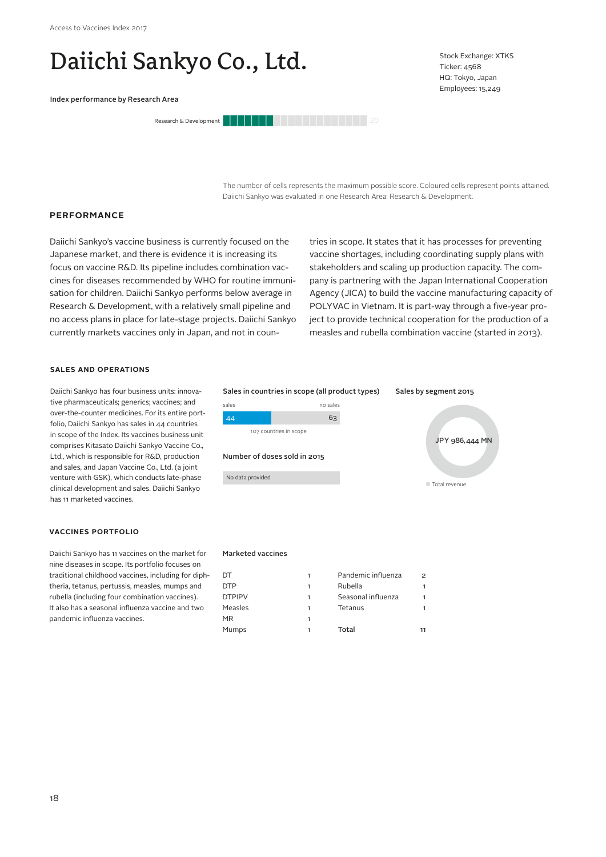# Daiichi Sankyo Co., Ltd.

Index performance by Research Area



Stock Exchange: XTKS Ticker: 4568 HQ: Tokyo, Japan Employees: 15,249

The number of cells represents the maximum possible score. Coloured cells represent points attained. Daiichi Sankyo was evaluated in one Research Area: Research & Development.

## **PERFORMANCE**

Daiichi Sankyo's vaccine business is currently focused on the Japanese market, and there is evidence it is increasing its focus on vaccine R&D. Its pipeline includes combination vaccines for diseases recommended by WHO for routine immunisation for children. Daiichi Sankyo performs below average in Research & Development, with a relatively small pipeline and no access plans in place for late-stage projects. Daiichi Sankyo currently markets vaccines only in Japan, and not in countries in scope. It states that it has processes for preventing vaccine shortages, including coordinating supply plans with stakeholders and scaling up production capacity. The company is partnering with the Japan International Cooperation Agency (JICA) to build the vaccine manufacturing capacity of POLYVAC in Vietnam. It is part-way through a five-year project to provide technical cooperation for the production of a measles and rubella combination vaccine (started in 2013).

#### **SALES AND OPERATIONS**

Daiichi Sankyo has four business units: innovative pharmaceuticals; generics; vaccines; and over-the-counter medicines. For its entire portfolio, Daiichi Sankyo has sales in 44 countries in scope of the Index. Its vaccines business unit comprises Kitasato Daiichi Sankyo Vaccine Co., Ltd., which is responsible for R&D, production and sales, and Japan Vaccine Co., Ltd. (a joint venture with GSK), which conducts late-phase clinical development and sales. Daiichi Sankyo has 11 marketed vaccines.

#### **VACCINES PORTFOLIO**

Daiichi Sankyo has 11 vaccines on the market for nine diseases in scope. Its portfolio focuses on traditional childhood vaccines, including for diphtheria, tetanus, pertussis, measles, mumps and rubella (including four combination vaccines). It also has a seasonal influenza vaccine and two pandemic influenza vaccines.

# Total revenue JPY 986,444 MN Sales by segment 2015 No data provided 107 countries in scope sales no sales 44 63 Number of doses sold in 2015 Sales in countries in scope (all product types)

#### Marketed vaccines

| DT            |   | Pandemic influenza | 2  |
|---------------|---|--------------------|----|
| <b>DTP</b>    |   | Rubella            |    |
| <b>DTPIPV</b> | 1 | Seasonal influenza |    |
| Measles       |   | Tetanus            |    |
| MR            | 1 |                    |    |
| Mumps         |   | Total              | 11 |